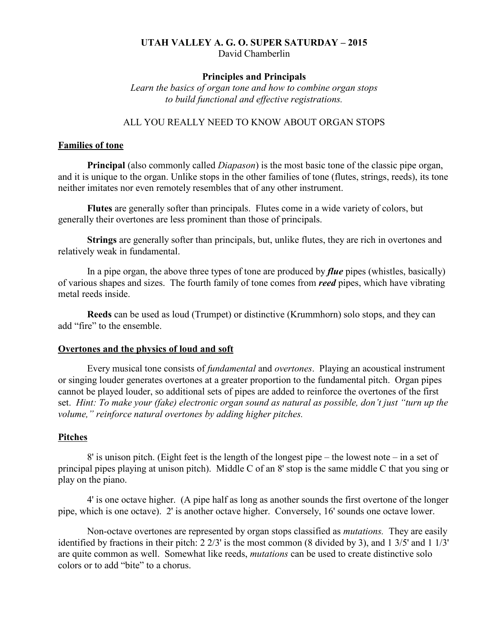### **UTAH VALLEY A. G. O. SUPER SATURDAY – 2015** David Chamberlin

## **Principles and Principals**

*Learn the basics of organ tone and how to combine organ stops to build functional and effective registrations.*

## ALL YOU REALLY NEED TO KNOW ABOUT ORGAN STOPS

### **Families of tone**

**Principal** (also commonly called *Diapason*) is the most basic tone of the classic pipe organ, and it is unique to the organ. Unlike stops in the other families of tone (flutes, strings, reeds), its tone neither imitates nor even remotely resembles that of any other instrument.

**Flutes** are generally softer than principals. Flutes come in a wide variety of colors, but generally their overtones are less prominent than those of principals.

**Strings** are generally softer than principals, but, unlike flutes, they are rich in overtones and relatively weak in fundamental.

In a pipe organ, the above three types of tone are produced by *flue* pipes (whistles, basically) of various shapes and sizes. The fourth family of tone comes from *reed* pipes, which have vibrating metal reeds inside.

**Reeds** can be used as loud (Trumpet) or distinctive (Krummhorn) solo stops, and they can add "fire" to the ensemble.

### **Overtones and the physics of loud and soft**

Every musical tone consists of *fundamental* and *overtones*. Playing an acoustical instrument or singing louder generates overtones at a greater proportion to the fundamental pitch. Organ pipes cannot be played louder, so additional sets of pipes are added to reinforce the overtones of the first set. *Hint: To make your (fake) electronic organ sound as natural as possible, don't just "turn up the volume," reinforce natural overtones by adding higher pitches.*

## **Pitches**

8' is unison pitch. (Eight feet is the length of the longest pipe – the lowest note – in a set of principal pipes playing at unison pitch). Middle C of an 8' stop is the same middle C that you sing or play on the piano.

4' is one octave higher. (A pipe half as long as another sounds the first overtone of the longer pipe, which is one octave). 2' is another octave higher. Conversely, 16' sounds one octave lower.

Non-octave overtones are represented by organ stops classified as *mutations.* They are easily identified by fractions in their pitch: 2 2/3' is the most common (8 divided by 3), and 1 3/5' and 1 1/3' are quite common as well. Somewhat like reeds, *mutations* can be used to create distinctive solo colors or to add "bite" to a chorus.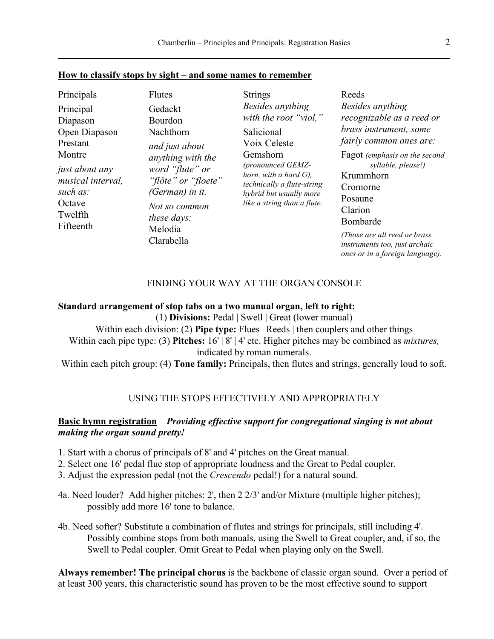## **How to classify stops by sight – and some names to remember**

| Principals                                                                                                                                        | <b>Flutes</b>                                                                                                                                                                                       | <b>Strings</b>                                                                                                                                                                                                               | Reeds                                                                                                                                                                                                                                                                                                                    |
|---------------------------------------------------------------------------------------------------------------------------------------------------|-----------------------------------------------------------------------------------------------------------------------------------------------------------------------------------------------------|------------------------------------------------------------------------------------------------------------------------------------------------------------------------------------------------------------------------------|--------------------------------------------------------------------------------------------------------------------------------------------------------------------------------------------------------------------------------------------------------------------------------------------------------------------------|
| Principal<br>Diapason<br>Open Diapason<br>Prestant<br>Montre<br>just about any<br>musical interval,<br>such as:<br>Octave<br>Twelfth<br>Fifteenth | Gedackt<br>Bourdon<br>Nachthorn<br>and just about<br>anything with the<br>word "flute" or<br>"flöte" or "floete"<br>(German) in it.<br>Not so common<br><i>these days:</i><br>Melodia<br>Clarabella | Besides anything<br>with the root "viol,"<br>Salicional<br>Voix Celeste<br>Gemshorn<br>(pronounced GEMZ-<br>horn, with a hard $G$ ),<br>technically a flute-string<br>hybrid but usually more<br>like a string than a flute. | Besides anything<br>recognizable as a reed or<br>brass instrument, some<br>fairly common ones are:<br>Fagot (emphasis on the second<br>syllable, please!)<br>Krummhorn<br>Cromorne<br>Posaune<br>Clarion<br>Bombarde<br>(Those are all reed or brass<br>instruments too, just archaic<br>ones or in a foreign language). |

## FINDING YOUR WAY AT THE ORGAN CONSOLE

### **Standard arrangement of stop tabs on a two manual organ, left to right:**

(1) **Divisions:** Pedal | Swell | Great (lower manual) Within each division: (2) **Pipe type:** Flues | Reeds | then couplers and other things Within each pipe type: (3) **Pitches:** 16' | 8' | 4' etc. Higher pitches may be combined as *mixtures,* indicated by roman numerals.

Within each pitch group: (4) **Tone family:** Principals, then flutes and strings, generally loud to soft.

## USING THE STOPS EFFECTIVELY AND APPROPRIATELY

# **Basic hymn registration** – *Providing effective support for congregational singing is not about making the organ sound pretty!*

- 1. Start with a chorus of principals of 8' and 4' pitches on the Great manual.
- 2. Select one 16' pedal flue stop of appropriate loudness and the Great to Pedal coupler.
- 3. Adjust the expression pedal (not the *Crescendo* pedal!) for a natural sound.
- 4a. Need louder? Add higher pitches: 2', then 2 2/3' and/or Mixture (multiple higher pitches); possibly add more 16' tone to balance.
- 4b. Need softer? Substitute a combination of flutes and strings for principals, still including 4'. Possibly combine stops from both manuals, using the Swell to Great coupler, and, if so, the Swell to Pedal coupler. Omit Great to Pedal when playing only on the Swell.

**Always remember! The principal chorus** is the backbone of classic organ sound. Over a period of at least 300 years, this characteristic sound has proven to be the most effective sound to support